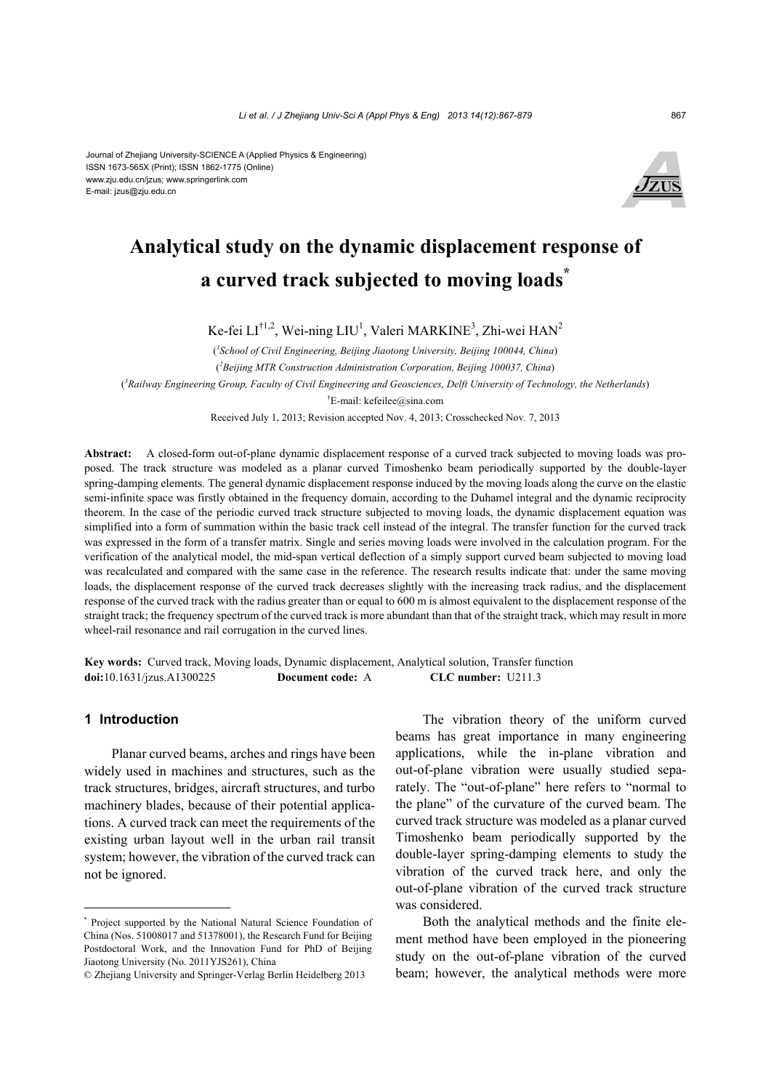#### Journal of Zhejiang University-SCIENCE A (Applied Physics & Engineering) ISSN 1673-565X (Print); ISSN 1862-1775 (Online) www.zju.edu.cn/jzus; www.springerlink.com E-mail: jzus@zju.edu.cn



# **Analytical study on the dynamic displacement response of a curved track subjected to moving loads\***

Ke-fei LI<sup>†1,2</sup>, Wei-ning LIU<sup>1</sup>, Valeri MARKINE<sup>3</sup>, Zhi-wei HAN<sup>2</sup>

( *1 School of Civil Engineering, Beijing Jiaotong University, Beijing 100044, China*) ( *2 Beijing MTR Construction Administration Corporation, Beijing 100037, China*) ( *3 Railway Engineering Group, Faculty of Civil Engineering and Geosciences, Delft University of Technology, the Netherlands*) † E-mail: kefeilee@sina.com

Received July 1, 2013; Revision accepted Nov. 4, 2013; Crosschecked Nov. 7, 2013

**Abstract:** A closed-form out-of-plane dynamic displacement response of a curved track subjected to moving loads was proposed. The track structure was modeled as a planar curved Timoshenko beam periodically supported by the double-layer spring-damping elements. The general dynamic displacement response induced by the moving loads along the curve on the elastic semi-infinite space was firstly obtained in the frequency domain, according to the Duhamel integral and the dynamic reciprocity theorem. In the case of the periodic curved track structure subjected to moving loads, the dynamic displacement equation was simplified into a form of summation within the basic track cell instead of the integral. The transfer function for the curved track was expressed in the form of a transfer matrix. Single and series moving loads were involved in the calculation program. For the verification of the analytical model, the mid-span vertical deflection of a simply support curved beam subjected to moving load was recalculated and compared with the same case in the reference. The research results indicate that: under the same moving loads, the displacement response of the curved track decreases slightly with the increasing track radius, and the displacement response of the curved track with the radius greater than or equal to 600 m is almost equivalent to the displacement response of the straight track; the frequency spectrum of the curved track is more abundant than that of the straight track, which may result in more wheel-rail resonance and rail corrugation in the curved lines.

**Key words:** Curved track, Moving loads, Dynamic displacement, Analytical solution, Transfer function **doi:**10.1631/jzus.A1300225 **Document code:** A **CLC number:** U211.3

## **1 Introduction**

Planar curved beams, arches and rings have been widely used in machines and structures, such as the track structures, bridges, aircraft structures, and turbo machinery blades, because of their potential applications. A curved track can meet the requirements of the existing urban layout well in the urban rail transit system; however, the vibration of the curved track can not be ignored.

The vibration theory of the uniform curved beams has great importance in many engineering applications, while the in-plane vibration and out-of-plane vibration were usually studied separately. The "out-of-plane" here refers to "normal to the plane" of the curvature of the curved beam. The curved track structure was modeled as a planar curved Timoshenko beam periodically supported by the double-layer spring-damping elements to study the vibration of the curved track here, and only the out-of-plane vibration of the curved track structure was considered.

Both the analytical methods and the finite element method have been employed in the pioneering study on the out-of-plane vibration of the curved beam; however, the analytical methods were more

<sup>\*</sup> Project supported by the National Natural Science Foundation of China (Nos. 51008017 and 51378001), the Research Fund for Beijing Postdoctoral Work, and the Innovation Fund for PhD of Beijing Jiaotong University (No. 2011YJS261), China

<sup>©</sup> Zhejiang University and Springer-Verlag Berlin Heidelberg 2013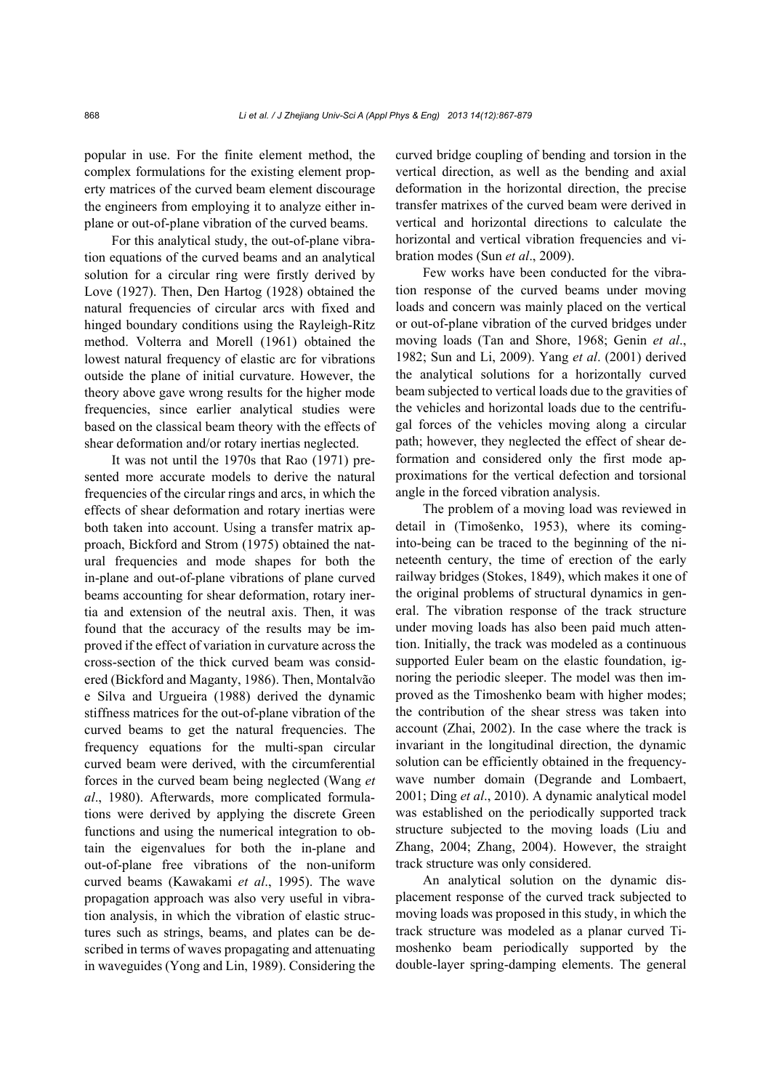popular in use. For the finite element method, the complex formulations for the existing element property matrices of the curved beam element discourage the engineers from employing it to analyze either inplane or out-of-plane vibration of the curved beams.

For this analytical study, the out-of-plane vibration equations of the curved beams and an analytical solution for a circular ring were firstly derived by Love (1927). Then, Den Hartog (1928) obtained the natural frequencies of circular arcs with fixed and hinged boundary conditions using the Rayleigh-Ritz method. Volterra and Morell (1961) obtained the lowest natural frequency of elastic arc for vibrations outside the plane of initial curvature. However, the theory above gave wrong results for the higher mode frequencies, since earlier analytical studies were based on the classical beam theory with the effects of shear deformation and/or rotary inertias neglected.

It was not until the 1970s that Rao (1971) presented more accurate models to derive the natural frequencies of the circular rings and arcs, in which the effects of shear deformation and rotary inertias were both taken into account. Using a transfer matrix approach, Bickford and Strom (1975) obtained the natural frequencies and mode shapes for both the in-plane and out-of-plane vibrations of plane curved beams accounting for shear deformation, rotary inertia and extension of the neutral axis. Then, it was found that the accuracy of the results may be improved if the effect of variation in curvature across the cross-section of the thick curved beam was considered (Bickford and Maganty, 1986). Then, Montalvão e Silva and Urgueira (1988) derived the dynamic stiffness matrices for the out-of-plane vibration of the curved beams to get the natural frequencies. The frequency equations for the multi-span circular curved beam were derived, with the circumferential forces in the curved beam being neglected (Wang *et al*., 1980). Afterwards, more complicated formulations were derived by applying the discrete Green functions and using the numerical integration to obtain the eigenvalues for both the in-plane and out-of-plane free vibrations of the non-uniform curved beams (Kawakami *et al*., 1995). The wave propagation approach was also very useful in vibration analysis, in which the vibration of elastic structures such as strings, beams, and plates can be described in terms of waves propagating and attenuating in waveguides (Yong and Lin, 1989). Considering the

curved bridge coupling of bending and torsion in the vertical direction, as well as the bending and axial deformation in the horizontal direction, the precise transfer matrixes of the curved beam were derived in vertical and horizontal directions to calculate the horizontal and vertical vibration frequencies and vibration modes (Sun *et al*., 2009).

Few works have been conducted for the vibration response of the curved beams under moving loads and concern was mainly placed on the vertical or out-of-plane vibration of the curved bridges under moving loads (Tan and Shore, 1968; Genin *et al*., 1982; Sun and Li, 2009). Yang *et al*. (2001) derived the analytical solutions for a horizontally curved beam subjected to vertical loads due to the gravities of the vehicles and horizontal loads due to the centrifugal forces of the vehicles moving along a circular path; however, they neglected the effect of shear deformation and considered only the first mode approximations for the vertical defection and torsional angle in the forced vibration analysis.

The problem of a moving load was reviewed in detail in (Timošenko, 1953), where its cominginto-being can be traced to the beginning of the nineteenth century, the time of erection of the early railway bridges (Stokes, 1849), which makes it one of the original problems of structural dynamics in general. The vibration response of the track structure under moving loads has also been paid much attention. Initially, the track was modeled as a continuous supported Euler beam on the elastic foundation, ignoring the periodic sleeper. The model was then improved as the Timoshenko beam with higher modes; the contribution of the shear stress was taken into account (Zhai, 2002). In the case where the track is invariant in the longitudinal direction, the dynamic solution can be efficiently obtained in the frequencywave number domain (Degrande and Lombaert, 2001; Ding *et al*., 2010). A dynamic analytical model was established on the periodically supported track structure subjected to the moving loads (Liu and Zhang, 2004; Zhang, 2004). However, the straight track structure was only considered.

An analytical solution on the dynamic displacement response of the curved track subjected to moving loads was proposed in this study, in which the track structure was modeled as a planar curved Timoshenko beam periodically supported by the double-layer spring-damping elements. The general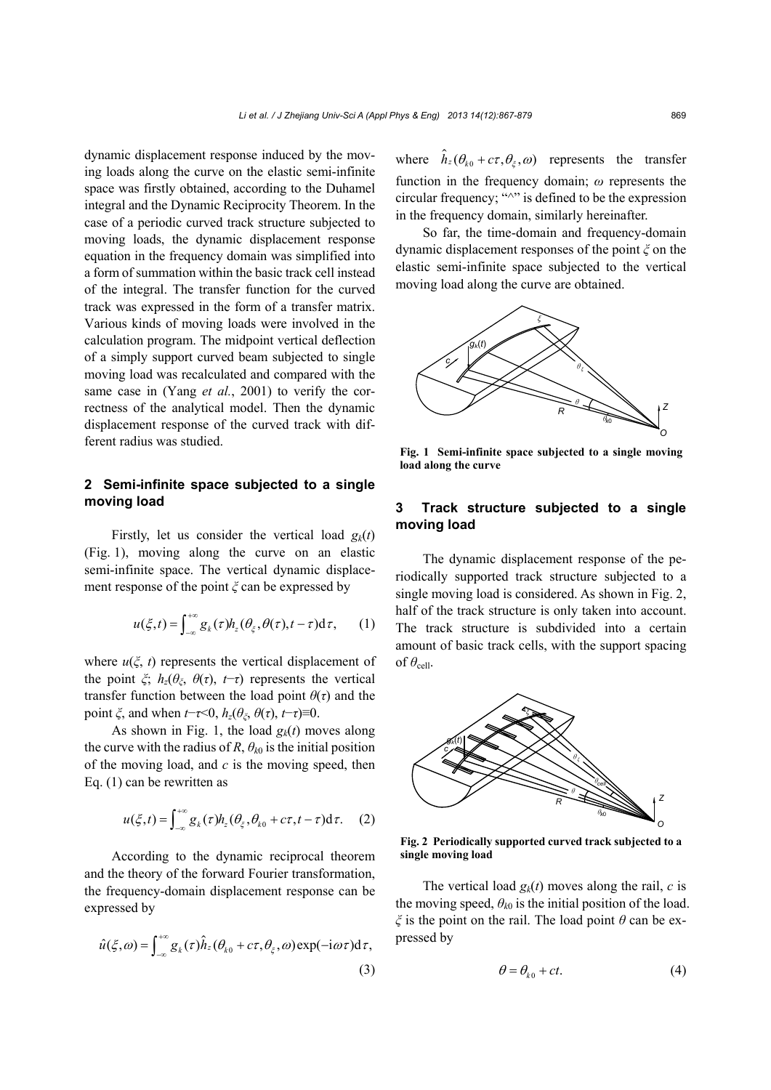dynamic displacement response induced by the moving loads along the curve on the elastic semi-infinite space was firstly obtained, according to the Duhamel integral and the Dynamic Reciprocity Theorem. In the case of a periodic curved track structure subjected to moving loads, the dynamic displacement response equation in the frequency domain was simplified into a form of summation within the basic track cell instead of the integral. The transfer function for the curved track was expressed in the form of a transfer matrix. Various kinds of moving loads were involved in the calculation program. The midpoint vertical deflection of a simply support curved beam subjected to single moving load was recalculated and compared with the same case in (Yang *et al.*, 2001) to verify the correctness of the analytical model. Then the dynamic displacement response of the curved track with different radius was studied.

# **2 Semi-infinite space subjected to a single moving load**

Firstly, let us consider the vertical load  $g_k(t)$ (Fig. 1), moving along the curve on an elastic semi-infinite space. The vertical dynamic displacement response of the point *ξ* can be expressed by

$$
u(\xi,t) = \int_{-\infty}^{+\infty} g_k(\tau) h_z(\theta_\xi, \theta(\tau), t - \tau) d\tau, \qquad (1)
$$

where  $u(\xi, t)$  represents the vertical displacement of the point  $\zeta$ ;  $h_z(\theta_\zeta, \theta(\tau), t-\tau)$  represents the vertical transfer function between the load point  $\theta(\tau)$  and the point  $\zeta$ , and when  $t-\tau<0$ ,  $h_z(\theta_\zeta, \theta(\tau), t-\tau) \equiv 0$ .

As shown in Fig. 1, the load  $g_k(t)$  moves along the curve with the radius of *R*,  $\theta_{k0}$  is the initial position of the moving load, and *c* is the moving speed, then Eq. (1) can be rewritten as

$$
u(\xi,t) = \int_{-\infty}^{+\infty} g_k(\tau) h_z(\theta_\xi, \theta_{k0} + c\tau, t - \tau) d\tau.
$$
 (2)

According to the dynamic reciprocal theorem and the theory of the forward Fourier transformation, the frequency-domain displacement response can be expressed by

$$
\hat{u}(\xi,\omega) = \int_{-\infty}^{+\infty} g_k(\tau)\hat{h}_z(\theta_{k0} + c\tau, \theta_{\xi}, \omega) \exp(-i\omega\tau) d\tau,
$$
\n(3)

where  $\hat{h}_z(\theta_{k0} + c\tau, \theta_{\xi}, \omega)$  represents the transfer function in the frequency domain; *ω* represents the circular frequency; " $\sim$ " is defined to be the expression in the frequency domain, similarly hereinafter.

So far, the time-domain and frequency-domain dynamic displacement responses of the point *ξ* on the elastic semi-infinite space subjected to the vertical moving load along the curve are obtained.



**Fig. 1 Semi-infinite space subjected to a single moving load along the curve** 

# **3 Track structure subjected to a single moving load**

The dynamic displacement response of the periodically supported track structure subjected to a single moving load is considered. As shown in Fig. 2, half of the track structure is only taken into account. The track structure is subdivided into a certain amount of basic track cells, with the support spacing of  $\theta_{\text{cell}}$ .



**Fig. 2 Periodically supported curved track subjected to a single moving load** 

The vertical load  $g_k(t)$  moves along the rail, *c* is the moving speed,  $\theta_{k0}$  is the initial position of the load. *ξ* is the point on the rail. The load point *θ* can be expressed by

$$
\theta = \theta_{k0} + ct. \tag{4}
$$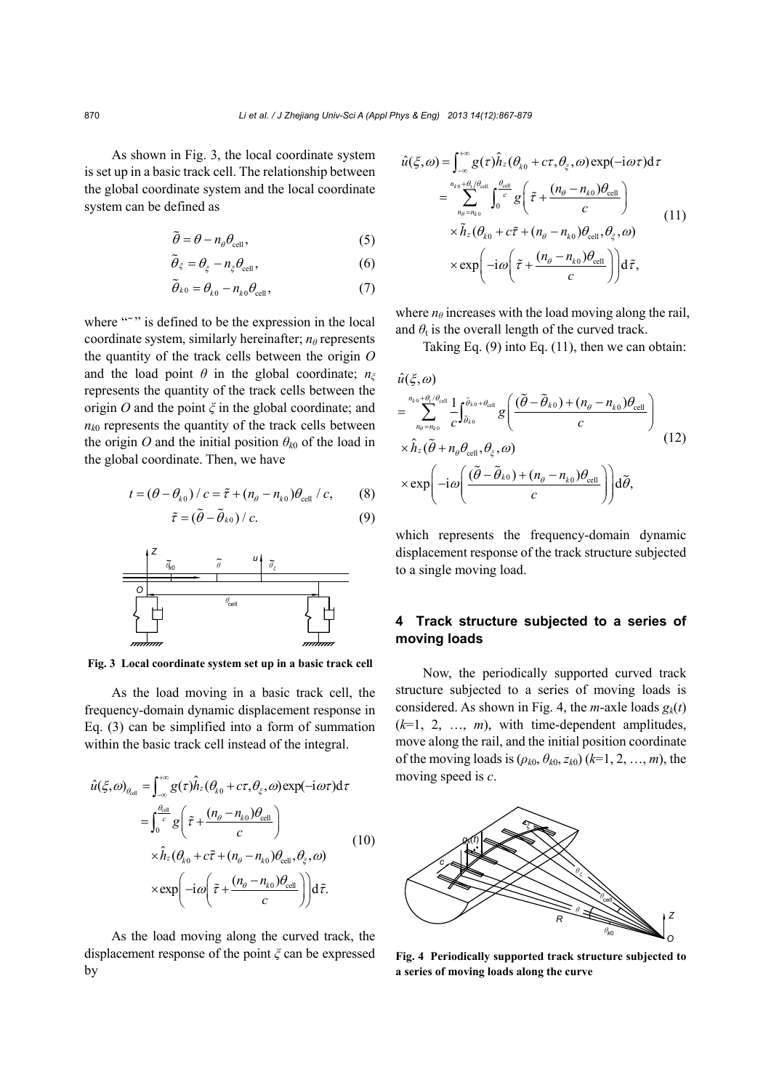As shown in Fig. 3, the local coordinate system is set up in a basic track cell. The relationship between the global coordinate system and the local coordinate system can be defined as

$$
\tilde{\theta} = \theta - n_{\theta} \theta_{\text{cell}},\tag{5}
$$

$$
\widetilde{\theta}_{\xi} = \theta_{\xi} - n_{\xi} \theta_{\text{cell}},\tag{6}
$$

$$
\widetilde{\theta}_{k0} = \theta_{k0} - n_{k0} \theta_{\text{cell}},\tag{7}
$$

where """ is defined to be the expression in the local coordinate system, similarly hereinafter; *nθ* represents the quantity of the track cells between the origin *O* and the load point  $\theta$  in the global coordinate;  $n_{\xi}$ represents the quantity of the track cells between the origin *O* and the point *ξ* in the global coordinate; and  $n_{k0}$  represents the quantity of the track cells between the origin *O* and the initial position  $\theta_{k0}$  of the load in the global coordinate. Then, we have

$$
t = (\theta - \theta_{k0}) / c = \tilde{\tau} + (n_{\theta} - n_{k0})\theta_{cell} / c, \qquad (8)
$$

$$
\tilde{\tau} = (\tilde{\theta} - \tilde{\theta}_{k0}) / c. \tag{9}
$$



**Fig. 3 Local coordinate system set up in a basic track cell**

As the load moving in a basic track cell, the frequency-domain dynamic displacement response in Eq. (3) can be simplified into a form of summation within the basic track cell instead of the integral.

$$
\hat{u}(\xi,\omega)_{\theta_{\text{cell}}} = \int_{-\infty}^{+\infty} g(\tau)\hat{h}_z(\theta_{k0} + c\tau, \theta_{\xi}, \omega) \exp(-i\omega\tau) d\tau \n= \int_{0}^{\frac{\theta_{\text{cell}}}{c}} g\left(\tilde{\tau} + \frac{(n_{\theta} - n_{k0})\theta_{\text{cell}}}{c}\right) \n\times \hat{h}_z(\theta_{k0} + c\tilde{\tau} + (n_{\theta} - n_{k0})\theta_{\text{cell}}, \theta_{\xi}, \omega) \n\times \exp\left(-i\omega\left(\tilde{\tau} + \frac{(n_{\theta} - n_{k0})\theta_{\text{cell}}}{c}\right)\right) d\tilde{\tau}.
$$
\n(10)

As the load moving along the curved track, the displacement response of the point *ξ* can be expressed by

$$
\hat{u}(\xi,\omega) = \int_{-\infty}^{+\infty} g(\tau) \hat{h}_z (\theta_{k0} + c\tau, \theta_{\xi}, \omega) \exp(-i\omega\tau) d\tau \n= \sum_{n_{\theta} = n_{k0}}^{n_{k0} + \theta_{\tau} / \theta_{cell}} \int_{0}^{\theta_{cell}} g\left(\tilde{\tau} + \frac{(n_{\theta} - n_{k0})\theta_{cell}}{c}\right) \n\times \tilde{h}_z (\theta_{k0} + c\tilde{\tau} + (n_{\theta} - n_{k0})\theta_{cell}, \theta_{\xi}, \omega) \n\times \exp\left(-i\omega\left(\tilde{\tau} + \frac{(n_{\theta} - n_{k0})\theta_{cell}}{c}\right)\right) d\tilde{\tau},
$$
\n(11)

where  $n_\theta$  increases with the load moving along the rail, and  $\theta_t$  is the overall length of the curved track.

Taking Eq.  $(9)$  into Eq.  $(11)$ , then we can obtain:

$$
\hat{u}(\xi,\omega)
$$
\n
$$
= \sum_{n_{\theta}=n_{k0}}^{n_{k0}+\theta_{l}/\theta_{cell}} \frac{1}{c} \int_{\tilde{\theta}_{k0}}^{\tilde{\theta}_{k0}+\theta_{cell}} g\left(\frac{(\tilde{\theta}-\tilde{\theta}_{k0})+(n_{\theta}-n_{k0})\theta_{cell}}{c}\right)
$$
\n
$$
\times \hat{h}_{z}(\tilde{\theta}+n_{\theta}\theta_{cell},\theta_{\xi},\omega)
$$
\n
$$
\times \exp\left(-i\omega\left(\frac{(\tilde{\theta}-\tilde{\theta}_{k0})+(n_{\theta}-n_{k0})\theta_{cell}}{c}\right)\right) d\tilde{\theta},
$$
\n(12)

which represents the frequency-domain dynamic displacement response of the track structure subjected to a single moving load.

# **4 Track structure subjected to a series of moving loads**

Now, the periodically supported curved track structure subjected to a series of moving loads is considered. As shown in Fig. 4, the *m*-axle loads  $g_k(t)$  $(k=1, 2, ..., m)$ , with time-dependent amplitudes, move along the rail, and the initial position coordinate of the moving loads is  $(\rho_{k0}, \theta_{k0}, z_{k0})$  ( $k=1, 2, ..., m$ ), the moving speed is *c*.



**Fig. 4 Periodically supported track structure subjected to a series of moving loads along the curve**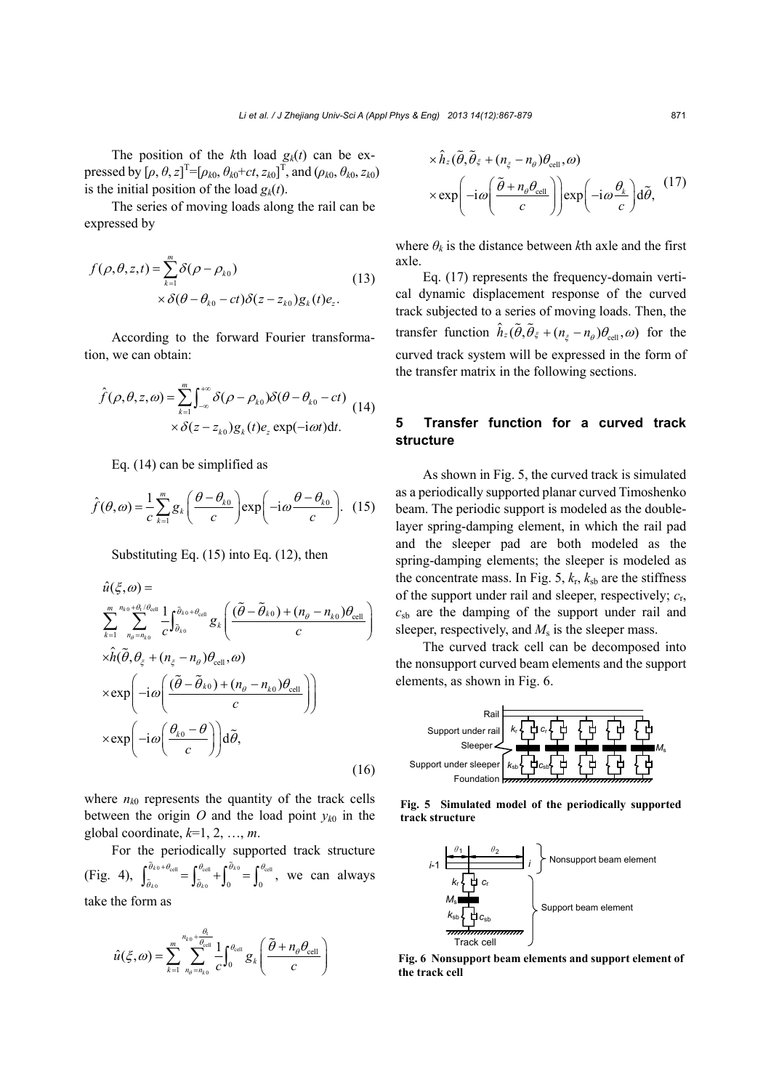The position of the  $k$ th load  $g_k(t)$  can be expressed by  $[\rho, \theta, z]^{T} = [\rho_{k0}, \theta_{k0} + ct, z_{k0}]^{T}$ , and  $(\rho_{k0}, \theta_{k0}, z_{k0})$ is the initial position of the load  $g_k(t)$ .

The series of moving loads along the rail can be expressed by

$$
f(\rho,\theta,z,t) = \sum_{k=1}^{m} \delta(\rho - \rho_{k0})
$$
  
 
$$
\times \delta(\theta - \theta_{k0} - ct) \delta(z - z_{k0}) g_k(t) e_z.
$$
 (13)

According to the forward Fourier transformation, we can obtain:

$$
\hat{f}(\rho,\theta,z,\omega) = \sum_{k=1}^{m} \int_{-\infty}^{+\infty} \delta(\rho - \rho_{k0}) \delta(\theta - \theta_{k0} - ct)
$$
\n
$$
\times \delta(z - z_{k0}) g_k(t) e_z \exp(-i\omega t) dt.
$$
\n(14)

Eq. (14) can be simplified as

$$
\hat{f}(\theta,\omega) = \frac{1}{c} \sum_{k=1}^{m} g_k \left( \frac{\theta - \theta_{k0}}{c} \right) \exp\left( -i\omega \frac{\theta - \theta_{k0}}{c} \right). \tag{15}
$$

Substituting Eq. (15) into Eq. (12), then

$$
\hat{u}(\xi,\omega) = \sum_{k=1}^{m} \sum_{n_{\theta}=\overline{n}_{k0}}^{n_{k0}+\theta_{\epsilon}/\theta_{\text{cell}}} \frac{1}{c} \int_{\tilde{\theta}_{k0}}^{\tilde{\theta}_{k0}+\theta_{\text{cell}}} g_k \left( \frac{(\tilde{\theta}-\tilde{\theta}_{k0})+(n_{\theta}-n_{k0})\theta_{\text{cell}}}{c} \right)
$$
\n
$$
\times \hat{h}(\tilde{\theta},\theta_{\xi}+(n_{\xi}-n_{\theta})\theta_{\text{cell}},\omega)
$$
\n
$$
\times \exp\left(-i\omega \left( \frac{(\tilde{\theta}-\tilde{\theta}_{k0})+(n_{\theta}-n_{k0})\theta_{\text{cell}}}{c} \right) \right)
$$
\n
$$
\times \exp\left(-i\omega \left( \frac{\theta_{k0}-\theta}{c} \right) \right) d\tilde{\theta}, \tag{16}
$$

where  $n_{k0}$  represents the quantity of the track cells between the origin  $O$  and the load point  $y_{k0}$  in the global coordinate,  $k=1, 2, ..., m$ .

For the periodically supported track structure (Fig. 4),  $\int_{\tilde{\theta}_{k_0}}^{\tilde{\theta}_{k_0}+\theta_{cell}} = \int_{\tilde{\theta}_{k_0}}^{\theta_{cell}} + \int_0^{\tilde{\theta}_{cell}}$  $\frac{\widetilde{\theta}_{k0} + \theta_{\text{cell}}}{\widetilde{\theta}_{k0}} = \int_{\widetilde{\theta}_{k0}}^{\theta_{\text{cell}}} + \int_{0}^{\widetilde{\theta}_{k0}} = \int_{0}^{\theta_{\text{cell}}} ,$  $\int_{\tilde{\theta}_{k0}}^{\tilde{\theta}_{k0}+\theta_{cell}} = \int_{\tilde{\theta}_{k0}}^{\theta_{cell}} + \int_{0}^{\tilde{\theta}_{k0}} = \int_{0}^{\theta_{cell}}$ , we can always take the form as

$$
\hat{u}(\xi,\omega) = \sum_{k=1}^{m} \sum_{n_{\theta}=n_{k0}}^{n_{k0} + \frac{\theta_{\text{cell}}}{\theta_{\text{cell}}}} \frac{1}{C} \int_{0}^{\theta_{\text{cell}}} g_k\left(\frac{\tilde{\theta} + n_{\theta} \theta_{\text{cell}}}{C}\right)
$$

$$
\times \hat{h}_z(\tilde{\theta}, \tilde{\theta}_{\xi} + (n_{\xi} - n_{\theta})\theta_{\text{cell}}, \omega) \times \exp\left(-i\omega \left(\frac{\tilde{\theta} + n_{\theta}\theta_{\text{cell}}}{c}\right)\right) \exp\left(-i\omega \frac{\theta_k}{c}\right) d\tilde{\theta},
$$
\n(17)

where  $\theta_k$  is the distance between *k*th axle and the first axle.

Eq. (17) represents the frequency-domain vertical dynamic displacement response of the curved track subjected to a series of moving loads. Then, the transfer function  $\hat{h}_z(\tilde{\theta}, \tilde{\theta}_{\xi} + (n_z - n_a)\theta_{\text{cell}}, \omega)$  for the curved track system will be expressed in the form of the transfer matrix in the following sections.

# **5 Transfer function for a curved track structure**

As shown in Fig. 5, the curved track is simulated as a periodically supported planar curved Timoshenko beam. The periodic support is modeled as the doublelayer spring-damping element, in which the rail pad and the sleeper pad are both modeled as the spring-damping elements; the sleeper is modeled as the concentrate mass. In Fig.  $5, k_r, k_{sb}$  are the stiffness of the support under rail and sleeper, respectively; *c*r,  $c_{sb}$  are the damping of the support under rail and sleeper, respectively, and  $M<sub>s</sub>$  is the sleeper mass.

The curved track cell can be decomposed into the nonsupport curved beam elements and the support elements, as shown in Fig. 6.



**Fig. 5 Simulated model of the periodically supported track structure** 



**Fig. 6 Nonsupport beam elements and support element of the track cell**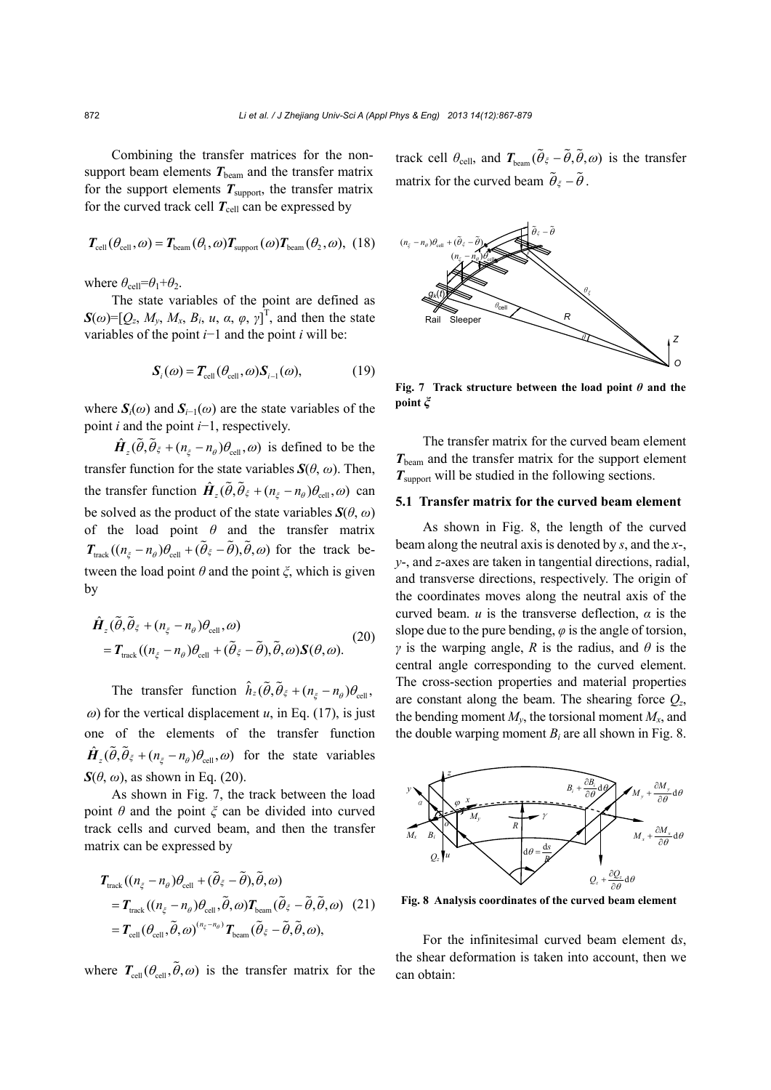Combining the transfer matrices for the nonsupport beam elements  $T_{\text{beam}}$  and the transfer matrix for the support elements  $T_{\text{support}}$ , the transfer matrix for the curved track cell  $T_{cell}$  can be expressed by

$$
T_{\text{cell}}(\theta_{\text{cell}}, \omega) = T_{\text{beam}}(\theta_{1}, \omega) T_{\text{support}}(\omega) T_{\text{beam}}(\theta_{2}, \omega), (18)
$$

where  $\theta_{\text{cell}} = \theta_1 + \theta_2$ .

The state variables of the point are defined as  $\mathbf{S}(\omega) = [Q_z, M_y, M_x, B_i, u, \alpha, \varphi, \gamma]^\text{T}$ , and then the state variables of the point *i*−1 and the point *i* will be:

$$
\mathbf{S}_{i}(\omega) = \mathbf{T}_{\text{cell}}(\theta_{\text{cell}}, \omega) \mathbf{S}_{i-1}(\omega),
$$
 (19)

where  $S_i(\omega)$  and  $S_{i-1}(\omega)$  are the state variables of the point *i* and the point *i*−1, respectively.

 $\hat{H}_z(\tilde{\theta}, \tilde{\theta}_{\xi} + (n_{\xi} - n_{\theta})\theta_{\text{cell}}, \omega)$  is defined to be the transfer function for the state variables  $S(\theta, \omega)$ . Then, the transfer function  $\hat{H}_z(\tilde{\theta}, \tilde{\theta}_{\xi} + (n_{\xi} - n_{\theta})\theta_{cell}, \omega)$  can be solved as the product of the state variables  $S(\theta, \omega)$ of the load point *θ* and the transfer matrix  $T_{\text{track}}((n_{\xi} - n_{\theta})\theta_{\text{cell}} + (\tilde{\theta}_{\xi} - \tilde{\theta}), \tilde{\theta}, \omega)$  for the track between the load point *θ* and the point *ξ*, which is given by

$$
\hat{H}_z(\tilde{\theta}, \tilde{\theta}_{\xi} + (n_{\xi} - n_{\theta})\theta_{\text{cell}}, \omega) \n= T_{\text{track}}((n_{\xi} - n_{\theta})\theta_{\text{cell}} + (\tilde{\theta}_{\xi} - \tilde{\theta}), \tilde{\theta}, \omega)S(\theta, \omega).
$$
\n(20)

The transfer function  $\hat{h}_z(\tilde{\theta}, \tilde{\theta}_{\xi} + (n_{\xi} - n_{\theta})\theta_{\text{cell}},$  $\omega$ ) for the vertical displacement *u*, in Eq. (17), is just one of the elements of the transfer function  $\hat{H}_z(\tilde{\theta}, \tilde{\theta}_{\xi} + (n_{\xi} - n_{\theta})\theta_{\text{cell}}, \omega)$  for the state variables  $S(\theta, \omega)$ , as shown in Eq. (20).

As shown in Fig. 7, the track between the load point  $\theta$  and the point  $\xi$  can be divided into curved track cells and curved beam, and then the transfer matrix can be expressed by

$$
T_{\text{track}}((n_{\xi} - n_{\theta})\theta_{\text{cell}} + (\tilde{\theta}_{\xi} - \tilde{\theta}), \tilde{\theta}, \omega)
$$
  
=  $T_{\text{track}}((n_{\xi} - n_{\theta})\theta_{\text{cell}}, \tilde{\theta}, \omega)T_{\text{beam}}(\tilde{\theta}_{\xi} - \tilde{\theta}, \tilde{\theta}, \omega)$  (21)  
=  $T_{\text{cell}}(\theta_{\text{cell}}, \tilde{\theta}, \omega)^{(n_{\xi} - n_{\theta})}T_{\text{beam}}(\tilde{\theta}_{\xi} - \tilde{\theta}, \tilde{\theta}, \omega),$ 

where  $T_{\text{cell}}(\theta_{\text{cell}}, \tilde{\theta}, \omega)$  is the transfer matrix for the

track cell  $\theta_{\text{cell}}$ , and  $T_{\text{beam}}(\tilde{\theta}_{\xi} - \tilde{\theta}, \tilde{\theta}, \omega)$  is the transfer matrix for the curved beam  $\tilde{\theta}_{\xi} - \tilde{\theta}$ .



**Fig. 7 Track structure between the load point**  $\theta$  **and the point** *ξ*

The transfer matrix for the curved beam element  $T_{\text{beam}}$  and the transfer matrix for the support element  $T_{\text{support}}$  will be studied in the following sections.

## **5.1 Transfer matrix for the curved beam element**

As shown in Fig. 8, the length of the curved beam along the neutral axis is denoted by *s*, and the *x*-, *y*-, and *z*-axes are taken in tangential directions, radial, and transverse directions, respectively. The origin of the coordinates moves along the neutral axis of the curved beam. *u* is the transverse deflection,  $\alpha$  is the slope due to the pure bending,  $\varphi$  is the angle of torsion, *γ* is the warping angle, *R* is the radius, and  $\theta$  is the central angle corresponding to the curved element. The cross-section properties and material properties are constant along the beam. The shearing force  $Q_z$ , the bending moment  $M_{v}$ , the torsional moment  $M_{x}$ , and the double warping moment  $B_i$  are all shown in Fig. 8.



**Fig. 8 Analysis coordinates of the curved beam element**

For the infinitesimal curved beam element d*s*, the shear deformation is taken into account, then we can obtain: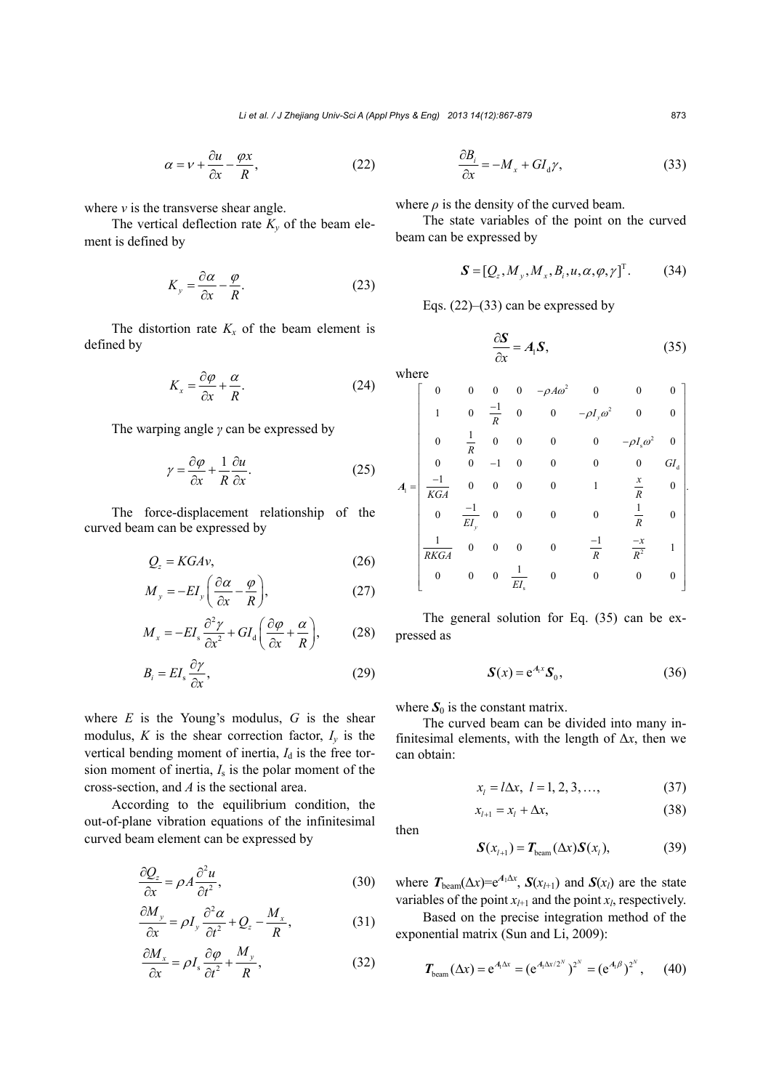$$
\alpha = \nu + \frac{\partial u}{\partial x} - \frac{\varphi x}{R},\tag{22}
$$

where *ν* is the transverse shear angle.

The vertical deflection rate  $K_v$  of the beam element is defined by

$$
K_y = \frac{\partial \alpha}{\partial x} - \frac{\varphi}{R}.
$$
 (23)

The distortion rate  $K_x$  of the beam element is defined by

$$
K_x = \frac{\partial \varphi}{\partial x} + \frac{\alpha}{R}.
$$
 (24)

The warping angle *γ* can be expressed by

$$
\gamma = \frac{\partial \varphi}{\partial x} + \frac{1}{R} \frac{\partial u}{\partial x}.
$$
\n(25)

The force-displacement relationship of the curved beam can be expressed by

$$
Q_z = KGAv,\tag{26}
$$

$$
M_{y} = -EI_{y} \left( \frac{\partial \alpha}{\partial x} - \frac{\varphi}{R} \right),
$$
 (27)

$$
M_x = -EI_s \frac{\partial^2 \gamma}{\partial x^2} + GI_a \left( \frac{\partial \varphi}{\partial x} + \frac{\alpha}{R} \right), \tag{28}
$$

$$
B_i = EI_s \frac{\partial \gamma}{\partial x},\tag{29}
$$

where  $E$  is the Young's modulus,  $G$  is the shear modulus,  $K$  is the shear correction factor,  $I<sub>v</sub>$  is the vertical bending moment of inertia,  $I_d$  is the free torsion moment of inertia,  $I_s$  is the polar moment of the cross-section, and *A* is the sectional area.

According to the equilibrium condition, the out-of-plane vibration equations of the infinitesimal curved beam element can be expressed by

$$
\frac{\partial Q_z}{\partial x} = \rho A \frac{\partial^2 u}{\partial t^2},\tag{30}
$$

$$
\frac{\partial M_y}{\partial x} = \rho I_y \frac{\partial^2 \alpha}{\partial t^2} + Q_z - \frac{M_x}{R},\tag{31}
$$

$$
\frac{\partial M_x}{\partial x} = \rho I_s \frac{\partial \varphi}{\partial t^2} + \frac{M_y}{R},\tag{32}
$$

$$
\frac{\partial B_i}{\partial x} = -M_x + GI_d \gamma,\tag{33}
$$

where  $\rho$  is the density of the curved beam.

The state variables of the point on the curved beam can be expressed by

$$
\mathbf{S} = [Q_z, M_y, M_x, B_i, u, \alpha, \varphi, \gamma]^\mathrm{T}.
$$
 (34)

Eqs.  $(22)$ – $(33)$  can be expressed by

$$
\frac{\partial S}{\partial x} = A_1 S,\tag{35}
$$

where

$$
A_{1} = \begin{bmatrix} 0 & 0 & 0 & 0 & -\rho A\omega^{2} & 0 & 0 & 0 \\ 1 & 0 & \frac{-1}{R} & 0 & 0 & -\rho I_{y}\omega^{2} & 0 & 0 \\ 0 & \frac{1}{R} & 0 & 0 & 0 & 0 & -\rho I_{s}\omega^{2} & 0 \\ 0 & 0 & -1 & 0 & 0 & 0 & 0 & 0 & 0 \\ \frac{-1}{KGA} & 0 & 0 & 0 & 0 & 1 & \frac{x}{R} & 0 \\ 0 & \frac{-1}{EI_{y}} & 0 & 0 & 0 & 0 & \frac{1}{R} & 0 \\ \frac{1}{RKGA} & 0 & 0 & 0 & 0 & \frac{-1}{R} & \frac{-x}{R^{2}} & 1 \\ 0 & 0 & 0 & \frac{1}{EI_{s}} & 0 & 0 & 0 & 0 & 0 \end{bmatrix}
$$

The general solution for Eq. (35) can be expressed as

$$
\mathbf{S}(x) = e^{A_1 x} \mathbf{S}_0, \tag{36}
$$

where  $S_0$  is the constant matrix.

The curved beam can be divided into many infinitesimal elements, with the length of  $\Delta x$ , then we can obtain:

$$
x_{l} = l\Delta x, \ l = 1, 2, 3, ..., \qquad (37)
$$
  

$$
x_{l+1} = x_{l} + \Delta x, \qquad (38)
$$

then

$$
\mathbf{S}(x_{l+1}) = \mathbf{T}_{\text{beam}}(\Delta x) \mathbf{S}(x_l), \tag{39}
$$

where  $T_{\text{beam}}(\Delta x) = e^{A_1 \Delta x}$ ,  $S(x_{l+1})$  and  $S(x_l)$  are the state variables of the point  $x_{l+1}$  and the point  $x_l$ , respectively.

Based on the precise integration method of the exponential matrix (Sun and Li, 2009):

$$
T_{\text{beam}}(\Delta x) = e^{A_1 \Delta x} = (e^{A_1 \Delta x / 2^N})^{2^N} = (e^{A_1 \beta})^{2^N}, \qquad (40)
$$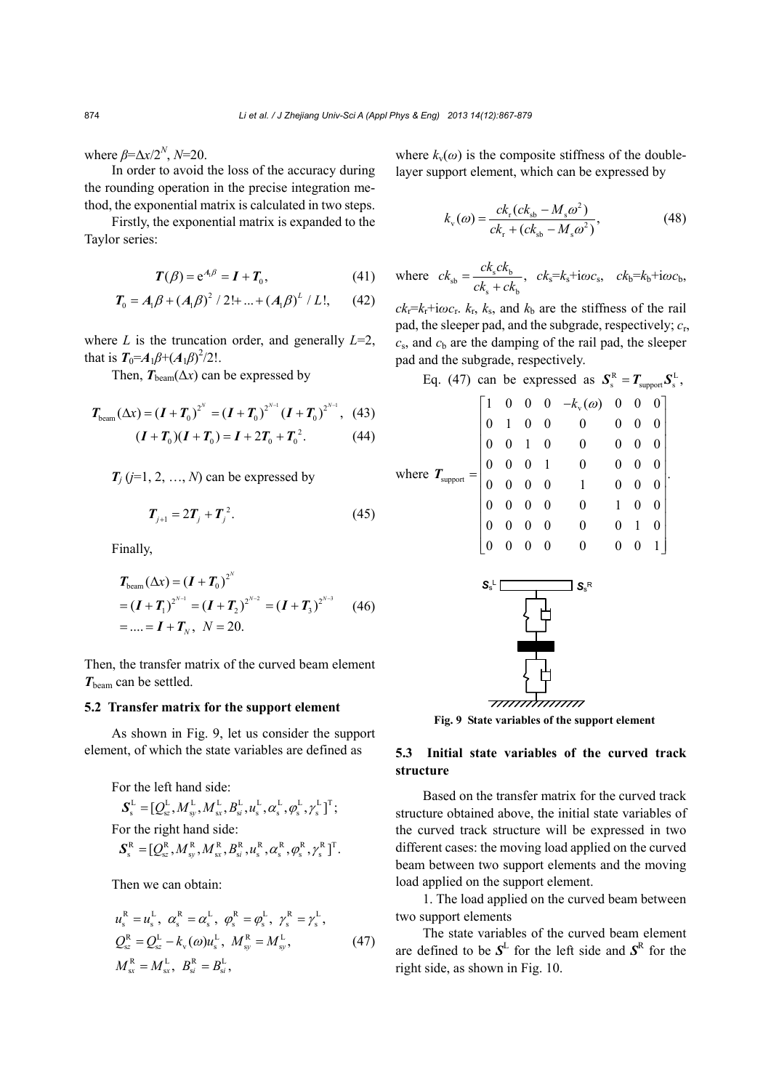where  $\beta = \Delta x/2^N$ ,  $N=20$ .

In order to avoid the loss of the accuracy during the rounding operation in the precise integration method, the exponential matrix is calculated in two steps.

Firstly, the exponential matrix is expanded to the Taylor series:

$$
T(\beta) = e^{A_1 \beta} = I + T_0, \qquad (41)
$$

$$
T_0 = A_1 \beta + (A_1 \beta)^2 / 2! + ... + (A_1 \beta)^L / L!,
$$
 (42)

where  $L$  is the truncation order, and generally  $L=2$ , that is  $T_0 = A_1 \beta + (A_1 \beta)^2 / 2!$ .

Then,  $T_{\text{beam}}(\Delta x)$  can be expressed by

$$
T_{\text{beam}}(\Delta x) = (I + T_0)^{2^N} = (I + T_0)^{2^{N-1}} (I + T_0)^{2^{N-1}},
$$
 (43)

$$
(I + T_0)(I + T_0) = I + 2T_0 + T_0^2.
$$
 (44)

 $T_i$  ( $j=1, 2, ..., N$ ) can be expressed by

$$
T_{j+1} = 2T_j + T_j^2.
$$
 (45)

Finally,

$$
T_{\text{beam}}(\Delta x) = (I + T_0)^{2^N}
$$
  
=  $(I + T_1)^{2^{N-1}} = (I + T_2)^{2^{N-2}} = (I + T_3)^{2^{N-3}}$  (46)  
= ... =  $I + T_N$ ,  $N = 20$ .

Then, the transfer matrix of the curved beam element *T*beam can be settled.

#### **5.2 Transfer matrix for the support element**

As shown in Fig. 9, let us consider the support element, of which the state variables are defined as

For the left hand side:

$$
\mathbf{S}_{\mathrm{s}}^{\mathrm{L}} = [Q_{\mathrm{s}z}^{\mathrm{L}}, M_{\mathrm{s}y}^{\mathrm{L}}, M_{\mathrm{s}x}^{\mathrm{L}}, B_{\mathrm{s}i}^{\mathrm{L}}, u_{\mathrm{s}}^{\mathrm{L}}, \alpha_{\mathrm{s}}^{\mathrm{L}}, \varphi_{\mathrm{s}}^{\mathrm{L}}, \gamma_{\mathrm{s}}^{\mathrm{L}}]^{\mathrm{T}};
$$
  
For the right hand side:  

$$
\mathbf{S}_{\mathrm{s}}^{\mathrm{R}} = [Q_{\mathrm{s}z}^{\mathrm{R}}, M_{\mathrm{s}y}^{\mathrm{R}}, M_{\mathrm{s}x}^{\mathrm{R}}, B_{\mathrm{s}i}^{\mathrm{R}}, u_{\mathrm{s}}^{\mathrm{R}}, \alpha_{\mathrm{s}}^{\mathrm{R}}, \varphi_{\mathrm{s}}^{\mathrm{R}}, \gamma_{\mathrm{s}}^{\mathrm{R}}]^{\mathrm{T}}.
$$

Then we can obtain:

$$
u_{s}^{R} = u_{s}^{L}, \ \alpha_{s}^{R} = \alpha_{s}^{L}, \ \phi_{s}^{R} = \phi_{s}^{L}, \ \gamma_{s}^{R} = \gamma_{s}^{L},
$$
  
\n
$$
Q_{sz}^{R} = Q_{sz}^{L} - k_{v}(\omega)u_{s}^{L}, \ M_{sy}^{R} = M_{sy}^{L},
$$
  
\n
$$
M_{sx}^{R} = M_{sx}^{L}, \ B_{si}^{R} = B_{si}^{L},
$$
\n(47)

where  $k_v(\omega)$  is the composite stiffness of the doublelayer support element, which can be expressed by

$$
k_{\rm v}(\omega) = \frac{ck_{\rm r}(ck_{\rm sb} - M_{\rm s}\omega^2)}{ck_{\rm r} + (ck_{\rm sb} - M_{\rm s}\omega^2)},
$$
(48)

where 
$$
ck_{sb} = \frac{ck_sck_b}{ck_s + ck_b}
$$
,  $ck_s = k_s + i\omega c_s$ ,  $ck_b = k_b + i\omega c_b$ ,

 $ck_{\rm r} = k_{\rm r} + i\omega c_{\rm r}$ .  $k_{\rm r}$ ,  $k_{\rm s}$ , and  $k_{\rm b}$  are the stiffness of the rail pad, the sleeper pad, and the subgrade, respectively; *c*r,  $c_s$ , and  $c_b$  are the damping of the rail pad, the sleeper pad and the subgrade, respectively.

Eq. (47) can be expressed as 
$$
S_s^R = T_{support} S_s^L
$$
,  
\n
$$
\begin{bmatrix}\n1 & 0 & 0 & 0 & -k_v(\omega) & 0 & 0 & 0 \\
0 & 1 & 0 & 0 & 0 & 0 & 0 & 0 \\
0 & 0 & 1 & 0 & 0 & 0 & 0 & 0 \\
0 & 0 & 0 & 1 & 0 & 0 & 0 & 0 \\
0 & 0 & 0 & 0 & 1 & 0 & 0 & 0 \\
0 & 0 & 0 & 0 & 0 & 1 & 0 & 0 \\
0 & 0 & 0 & 0 & 0 & 0 & 1 & 0\n\end{bmatrix}
$$
\nwhere  $T_{support} = \begin{bmatrix}\n1 & 0 & 0 & 0 & -k_v(\omega) & 0 & 0 & 0 \\
0 & 1 & 0 & 0 & 0 & 0 & 0 & 0 \\
0 & 0 & 0 & 0 & 1 & 0 & 0 & 0 \\
0 & 0 & 0 & 0 & 0 & 0 & 1 & 0 \\
0 & 0 & 0 & 0 & 0 & 0 & 0 & 1\n\end{bmatrix}$ .

**Fig. 9 State variables of the support element**

# **5.3 Initial state variables of the curved track structure**

Based on the transfer matrix for the curved track structure obtained above, the initial state variables of the curved track structure will be expressed in two different cases: the moving load applied on the curved beam between two support elements and the moving load applied on the support element.

1. The load applied on the curved beam between two support elements

The state variables of the curved beam element are defined to be  $S^L$  for the left side and  $S^R$  for the right side, as shown in Fig. 10.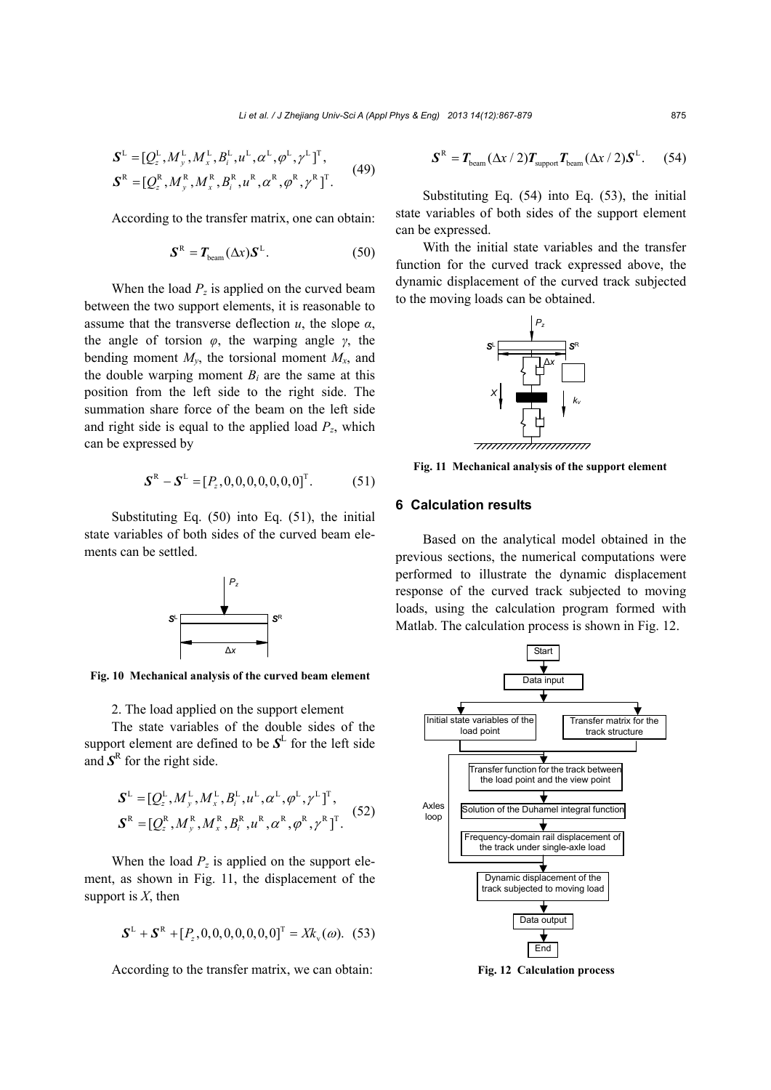$$
\mathbf{S}^{\text{L}} = [Q_z^{\text{L}}, M_y^{\text{L}}, M_x^{\text{L}}, B_i^{\text{L}}, u^{\text{L}}, \alpha^{\text{L}}, \varphi^{\text{L}}, \gamma^{\text{L}}]^{\text{T}},
$$
  

$$
\mathbf{S}^{\text{R}} = [Q_z^{\text{R}}, M_y^{\text{R}}, M_x^{\text{R}}, B_i^{\text{R}}, u^{\text{R}}, \alpha^{\text{R}}, \varphi^{\text{R}}, \gamma^{\text{R}}]^{\text{T}}.
$$
 (49)

According to the transfer matrix, one can obtain:

$$
\mathbf{S}^{\mathrm{R}} = T_{\mathrm{beam}}(\Delta x) \mathbf{S}^{\mathrm{L}}.
$$
 (50)

When the load  $P_z$  is applied on the curved beam between the two support elements, it is reasonable to assume that the transverse deflection  $u$ , the slope  $\alpha$ , the angle of torsion *φ*, the warping angle *γ*, the bending moment  $M_{\nu}$ , the torsional moment  $M_{\nu}$ , and the double warping moment  $B_i$  are the same at this position from the left side to the right side. The summation share force of the beam on the left side and right side is equal to the applied load  $P_z$ , which can be expressed by

$$
\mathbf{S}^{\text{R}} - \mathbf{S}^{\text{L}} = [P_z, 0, 0, 0, 0, 0, 0, 0]^{\text{T}}.
$$
 (51)

Substituting Eq. (50) into Eq. (51), the initial state variables of both sides of the curved beam elements can be settled.



**Fig. 10 Mechanical analysis of the curved beam element**

2. The load applied on the support element The state variables of the double sides of the support element are defined to be  $S<sup>L</sup>$  for the left side and  $S<sup>R</sup>$  for the right side.

$$
\mathbf{S}^{\text{L}} = [Q_z^{\text{L}}, M_y^{\text{L}}, M_x^{\text{L}}, B_i^{\text{L}}, u^{\text{L}}, \alpha^{\text{L}}, \varphi^{\text{L}}, \gamma^{\text{L}}]^{\text{T}},
$$
  

$$
\mathbf{S}^{\text{R}} = [Q_z^{\text{R}}, M_y^{\text{R}}, M_x^{\text{R}}, B_i^{\text{R}}, u^{\text{R}}, \alpha^{\text{R}}, \varphi^{\text{R}}, \gamma^{\text{R}}]^{\text{T}}. \tag{52}
$$

When the load  $P_z$  is applied on the support element, as shown in Fig. 11, the displacement of the support is *X*, then

$$
\mathbf{S}^{\mathrm{L}} + \mathbf{S}^{\mathrm{R}} + [P_z, 0, 0, 0, 0, 0, 0, 0]^{\mathrm{T}} = X k_{\mathrm{v}}(\omega). \tag{53}
$$

According to the transfer matrix, we can obtain:

$$
\mathbf{S}^{\mathrm{R}} = \mathbf{T}_{\mathrm{beam}} (\Delta x / 2) \mathbf{T}_{\mathrm{support}} \mathbf{T}_{\mathrm{beam}} (\Delta x / 2) \mathbf{S}^{\mathrm{L}}.
$$
 (54)

Substituting Eq. (54) into Eq. (53), the initial state variables of both sides of the support element can be expressed.

With the initial state variables and the transfer function for the curved track expressed above, the dynamic displacement of the curved track subjected to the moving loads can be obtained.



**Fig. 11 Mechanical analysis of the support element**

## **6 Calculation results**

Based on the analytical model obtained in the previous sections, the numerical computations were performed to illustrate the dynamic displacement response of the curved track subjected to moving loads, using the calculation program formed with Matlab. The calculation process is shown in Fig. 12.



**Fig. 12 Calculation process**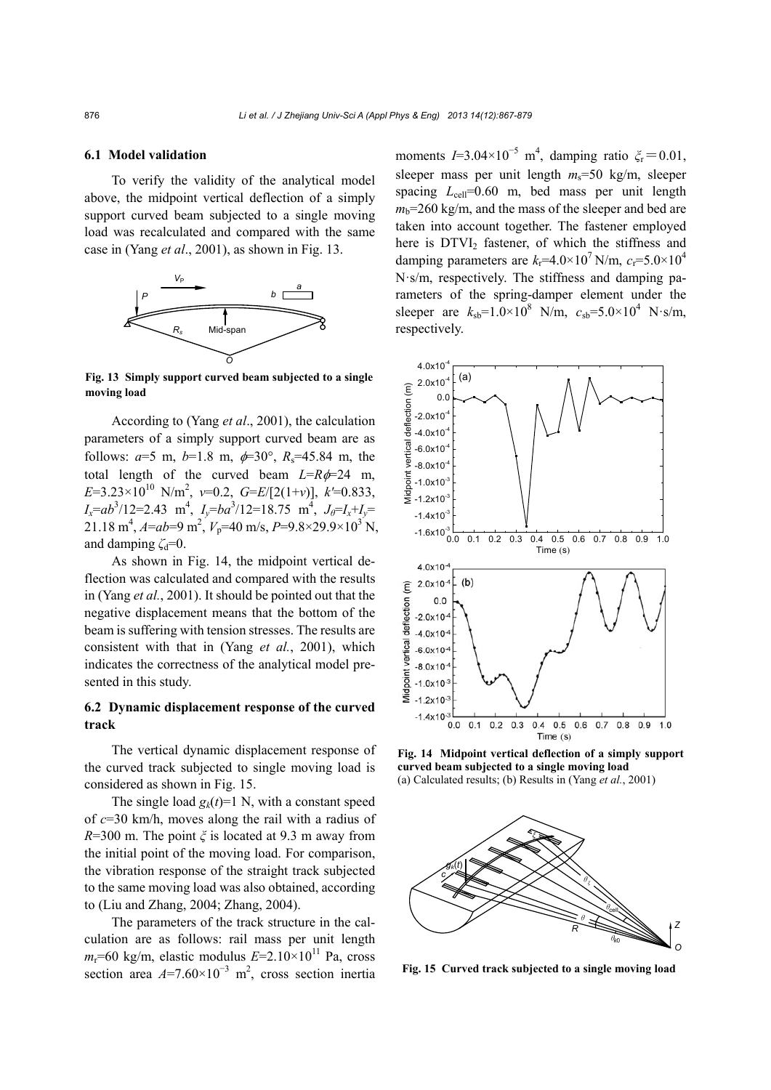#### **6.1 Model validation**

To verify the validity of the analytical model above, the midpoint vertical deflection of a simply support curved beam subjected to a single moving load was recalculated and compared with the same case in (Yang *et al*., 2001), as shown in Fig. 13.



**Fig. 13 Simply support curved beam subjected to a single moving load** 

According to (Yang *et al*., 2001), the calculation parameters of a simply support curved beam are as follows:  $a=5$  m,  $b=1.8$  m,  $\phi=30^{\circ}$ ,  $R_s=45.84$  m, the total length of the curved beam  $L=R\phi=24$  m, *E*=3.23×1010 N/m2 , *ν*=0.2, *G*=*E*/[2(1+*ν*)], *k'*=0.833,  $I_x = ab^3/12 = 2.43 \text{ m}^4$ ,  $I_y = ba^3/12 = 18.75 \text{ m}^4$ ,  $J_\theta = I_x + I_y =$ 21.18 m<sup>4</sup>,  $A=ab=9$  m<sup>2</sup>,  $V_p=40$  m/s,  $P=9.8\times29.9\times10^3$  N, and damping  $\zeta_d=0$ .

As shown in Fig. 14, the midpoint vertical deflection was calculated and compared with the results in (Yang *et al.*, 2001). It should be pointed out that the negative displacement means that the bottom of the beam is suffering with tension stresses. The results are consistent with that in (Yang *et al.*, 2001), which indicates the correctness of the analytical model presented in this study.

## **6.2 Dynamic displacement response of the curved track**

The vertical dynamic displacement response of the curved track subjected to single moving load is considered as shown in Fig. 15.

The single load  $g_k(t)=1$  N, with a constant speed of *c*=30 km/h, moves along the rail with a radius of *R*=300 m. The point *ξ* is located at 9.3 m away from the initial point of the moving load. For comparison, the vibration response of the straight track subjected to the same moving load was also obtained, according to (Liu and Zhang, 2004; Zhang, 2004).

The parameters of the track structure in the calculation are as follows: rail mass per unit length  $m_r$ =60 kg/m, elastic modulus  $E=2.10\times10^{11}$  Pa, cross section area  $A=7.60\times10^{-3}$  m<sup>2</sup>, cross section inertia

moments  $I=3.04\times10^{-5}$  m<sup>4</sup>, damping ratio  $\zeta_r=0.01$ , sleeper mass per unit length *m*s=50 kg/m, sleeper spacing  $L_{cell}=0.60$  m, bed mass per unit length  $m_b$ =260 kg/m, and the mass of the sleeper and bed are taken into account together. The fastener employed here is DTVI<sub>2</sub> fastener, of which the stiffness and damping parameters are  $k_f$ =4.0×10<sup>7</sup> N/m,  $c_f$ =5.0×10<sup>4</sup> N·s/m, respectively. The stiffness and damping parameters of the spring-damper element under the sleeper are  $k_{sb} = 1.0 \times 10^8$  N/m,  $c_{sb} = 5.0 \times 10^4$  N·s/m, respectively.



**Fig. 14 Midpoint vertical deflection of a simply support curved beam subjected to a single moving load**  (a) Calculated results; (b) Results in (Yang *et al.*, 2001)



**Fig. 15 Curved track subjected to a single moving load**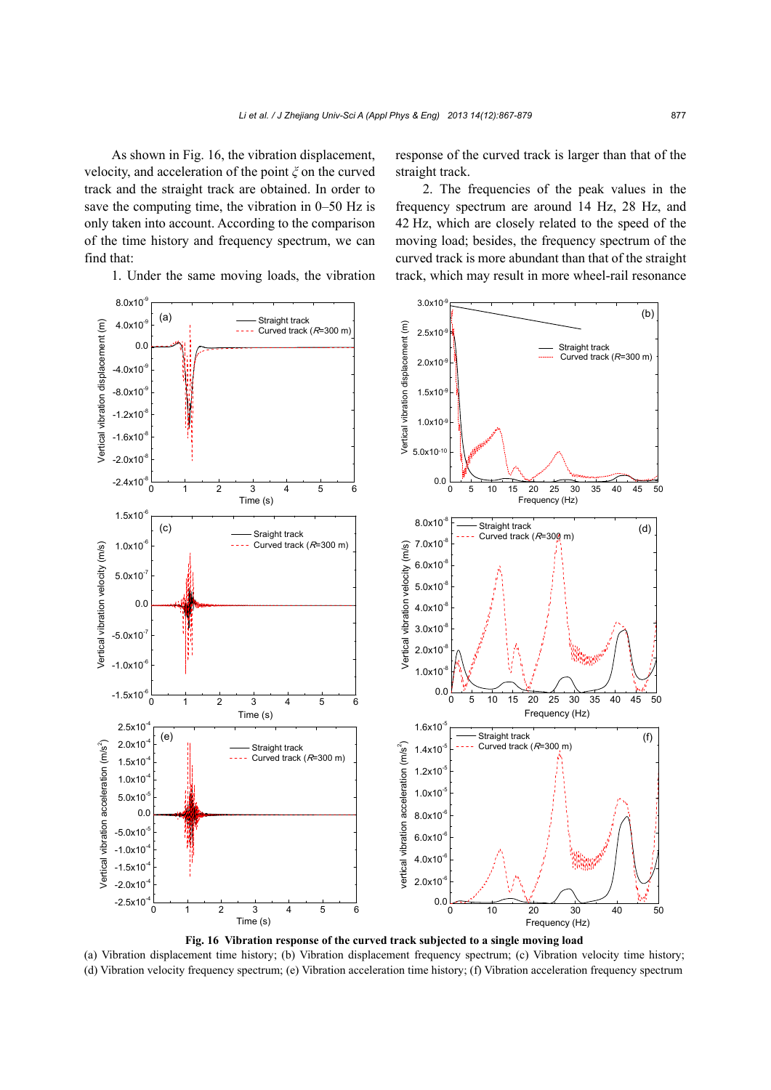As shown in Fig. 16, the vibration displacement, velocity, and acceleration of the point *ξ* on the curved track and the straight track are obtained. In order to save the computing time, the vibration in 0–50 Hz is only taken into account. According to the comparison of the time history and frequency spectrum, we can find that:

1. Under the same moving loads, the vibration

response of the curved track is larger than that of the straight track.

2. The frequencies of the peak values in the frequency spectrum are around 14 Hz, 28 Hz, and 42 Hz, which are closely related to the speed of the moving load; besides, the frequency spectrum of the curved track is more abundant than that of the straight track, which may result in more wheel-rail resonance



**Fig. 16 Vibration response of the curved track subjected to a single moving load** 

(a) Vibration displacement time history; (b) Vibration displacement frequency spectrum; (c) Vibration velocity time history; (d) Vibration velocity frequency spectrum; (e) Vibration acceleration time history; (f) Vibration acceleration frequency spectrum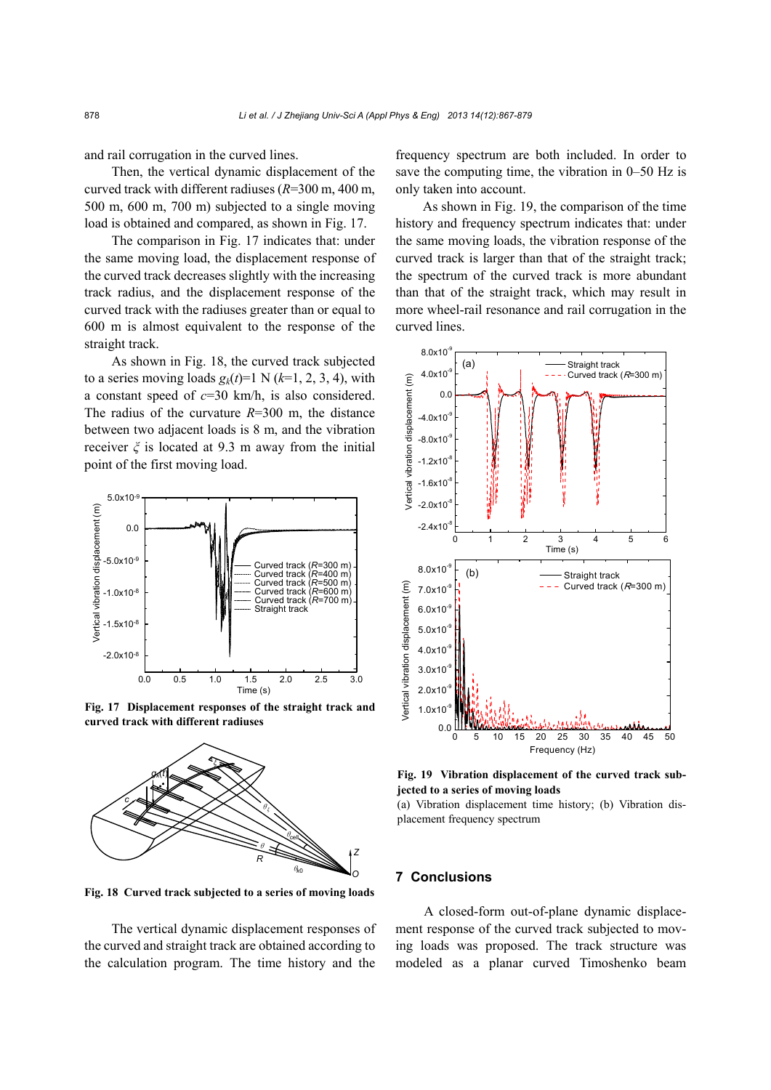and rail corrugation in the curved lines.

Then, the vertical dynamic displacement of the curved track with different radiuses (*R*=300 m, 400 m, 500 m, 600 m, 700 m) subjected to a single moving load is obtained and compared, as shown in Fig. 17.

The comparison in Fig. 17 indicates that: under the same moving load, the displacement response of the curved track decreases slightly with the increasing track radius, and the displacement response of the curved track with the radiuses greater than or equal to 600 m is almost equivalent to the response of the straight track.

As shown in Fig. 18, the curved track subjected to a series moving loads  $g_k(t)=1$  N ( $k=1, 2, 3, 4$ ), with a constant speed of *c*=30 km/h, is also considered. The radius of the curvature *R*=300 m, the distance between two adjacent loads is 8 m, and the vibration receiver *ξ* is located at 9.3 m away from the initial point of the first moving load.



**Fig. 17 Displacement responses of the straight track and curved track with different radiuses** 



**Fig. 18 Curved track subjected to a series of moving loads**

The vertical dynamic displacement responses of the curved and straight track are obtained according to the calculation program. The time history and the

frequency spectrum are both included. In order to save the computing time, the vibration in 0–50 Hz is only taken into account.

As shown in Fig. 19, the comparison of the time history and frequency spectrum indicates that: under the same moving loads, the vibration response of the curved track is larger than that of the straight track; the spectrum of the curved track is more abundant than that of the straight track, which may result in more wheel-rail resonance and rail corrugation in the curved lines.



**Fig. 19 Vibration displacement of the curved track subjected to a series of moving loads** 

(a) Vibration displacement time history; (b) Vibration displacement frequency spectrum

## **7 Conclusions**

A closed-form out-of-plane dynamic displacement response of the curved track subjected to moving loads was proposed. The track structure was modeled as a planar curved Timoshenko beam